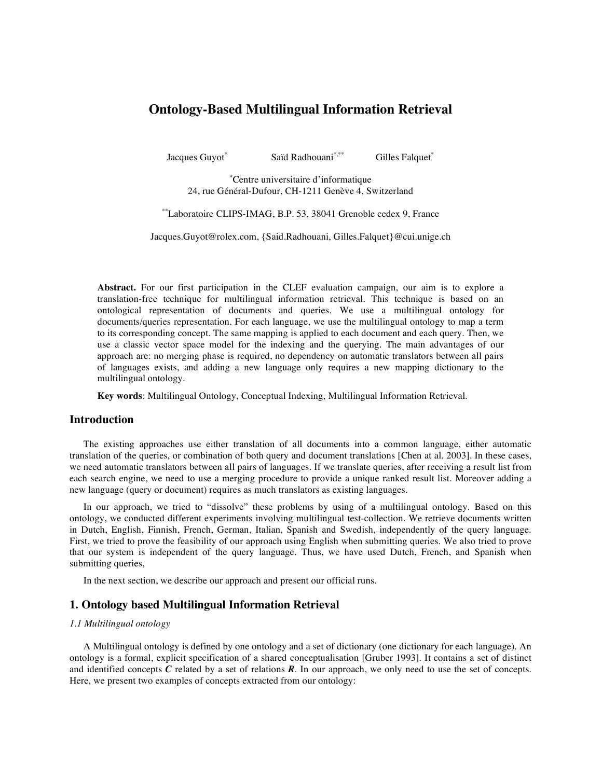# **Ontology-Based Multilingual Information Retrieval**

Jacques Guyot

Saïd Radhouani\*,\*\* \*,\*\* Gilles Falquet<sup>\*</sup>

\* Centre universitaire d'informatique 24, rue Général-Dufour, CH-1211 Genève 4, Switzerland

\*\* Laboratoire CLIPS-IMAG, B.P. 53, 38041 Grenoble cedex 9, France

Jacques.Guyot@rolex.com, {Said.Radhouani, Gilles.Falquet}@cui.unige.ch

**Abstract.** For our first participation in the CLEF evaluation campaign, our aim is to explore a translation-free technique for multilingual information retrieval. This technique is based on an ontological representation of documents and queries. We use a multilingual ontology for documents/queries representation. For each language, we use the multilingual ontology to map a term to its corresponding concept. The same mapping is applied to each document and each query. Then, we use a classic vector space model for the indexing and the querying. The main advantages of our approach are: no merging phase is required, no dependency on automatic translators between all pairs of languages exists, and adding a new language only requires a new mapping dictionary to the multilingual ontology.

**Key words**: Multilingual Ontology, Conceptual Indexing, Multilingual Information Retrieval.

# **Introduction**

The existing approaches use either translation of all documents into a common language, either automatic translation of the queries, or combination of both query and document translations [Chen at al. 2003]. In these cases, we need automatic translators between all pairs of languages. If we translate queries, after receiving a result list from each search engine, we need to use a merging procedure to provide a unique ranked result list. Moreover adding a new language (query or document) requires as much translators as existing languages.

In our approach, we tried to "dissolve" these problems by using of a multilingual ontology. Based on this ontology, we conducted different experiments involving multilingual test-collection. We retrieve documents written in Dutch, English, Finnish, French, German, Italian, Spanish and Swedish, independently of the query language. First, we tried to prove the feasibility of our approach using English when submitting queries. We also tried to prove that our system is independent of the query language. Thus, we have used Dutch, French, and Spanish when submitting queries,

In the next section, we describe our approach and present our official runs.

# **1. Ontology based Multilingual Information Retrieval**

### *1.1 Multilingual ontology*

A Multilingual ontology is defined by one ontology and a set of dictionary (one dictionary for each language). An ontology is a formal, explicit specification of a shared conceptualisation [Gruber 1993]. It contains a set of distinct and identified concepts  $C$  related by a set of relations  $R$ . In our approach, we only need to use the set of concepts. Here, we present two examples of concepts extracted from our ontology: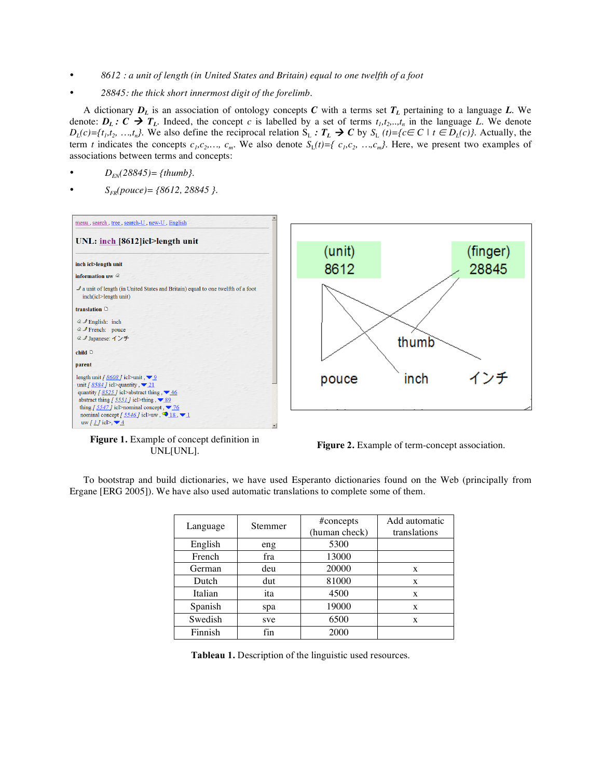- *8612 : a unit of length (in United States and Britain) equal to one twelfth of a foot*
- *28845: the thick short innermost digit of the forelimb.*

A dictionary  $D_L$  is an association of ontology concepts *C* with a terms set  $T_L$  pertaining to a language *L*. We denote:  $D_L: C \to T_L$ . Indeed, the concept *c* is labelled by a set of terms  $t_1, t_2, ..., t_n$  in the language *L*. We denote *D*<sub>*L*</sub>(*c*)={*t<sub>1</sub>,t<sub>2</sub></sub>, …,t<sub>n</sub></sub>}. We also define the reciprocal relation S<sub>L</sub> ∶ <i>T*<sub>*L*</sub> → *C* by S<sub>L</sub> (*t*)={*c*∈ *C* | *t* ∈ *D*<sub>*L*</sub>(*c*)}. Actually, the term *t* indicates the concepts  $c_1, c_2, \ldots, c_m$ . We also denote  $S_L(t) = \{c_1, c_2, \ldots, c_m\}$ . Here, we present two examples of associations between terms and concepts:

- *DEN(28845)= {thumb}.*
- *SFR(pouce)= {8612, 28845 }.*



**Figure 1.** Example of concept definition in

**Figure 2.** Example of term-concept association.<br>UNL[UNL].

To bootstrap and build dictionaries, we have used Esperanto dictionaries found on the Web (principally from Ergane [ERG 2005]). We have also used automatic translations to complete some of them.

|          | Stemmer | #concepts     | Add automatic |
|----------|---------|---------------|---------------|
| Language |         | (human check) | translations  |
| English  | eng     | 5300          |               |
| French   | fra     | 13000         |               |
| German   | deu     | 20000         | X             |
| Dutch    | dut     | 81000         | X             |
| Italian  | ita     | 4500          | X             |
| Spanish  | spa     | 19000         | X             |
| Swedish  | sve     | 6500          | X             |
| Finnish  | fin     | 2000          |               |

**Tableau 1.** Description of the linguistic used resources.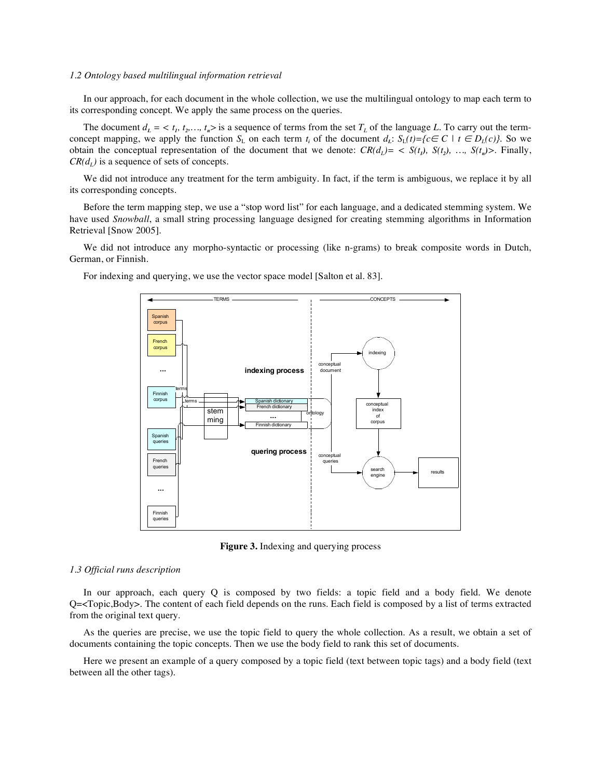#### *1.2 Ontology based multilingual information retrieval*

In our approach, for each document in the whole collection, we use the multilingual ontology to map each term to its corresponding concept. We apply the same process on the queries.

The document  $d_L = \langle t_1, t_2, \ldots, t_n \rangle$  is a sequence of terms from the set  $T_L$  of the language L. To carry out the termconcept mapping, we apply the function  $S_L$  on each term  $t_i$  of the document  $d_L$ :  $S_L(t)=\{c \in C \mid t \in D_L(c)\}$ . So we obtain the conceptual representation of the document that we denote:  $CR(d_1) = \langle S(t_1), S(t_2), \ldots, S(t_n) \rangle$ . Finally,  $CR(d<sub>L</sub>)$  is a sequence of sets of concepts.

We did not introduce any treatment for the term ambiguity. In fact, if the term is ambiguous, we replace it by all its corresponding concepts.

Before the term mapping step, we use a "stop word list" for each language, and a dedicated stemming system. We have used *Snowball*, a small string processing language designed for creating stemming algorithms in Information Retrieval [Snow 2005].

We did not introduce any morpho-syntactic or processing (like n-grams) to break composite words in Dutch, German, or Finnish.

For indexing and querying, we use the vector space model [Salton et al. 83].



**Figure 3.** Indexing and querying process

# *1.3 Official runs description*

In our approach, each query  $Q$  is composed by two fields: a topic field and a body field. We denote Q=<Topic,Body>. The content of each field depends on the runs. Each field is composed by a list of terms extracted from the original text query.

As the queries are precise, we use the topic field to query the whole collection. As a result, we obtain a set of documents containing the topic concepts. Then we use the body field to rank this set of documents.

Here we present an example of a query composed by a topic field (text between topic tags) and a body field (text between all the other tags).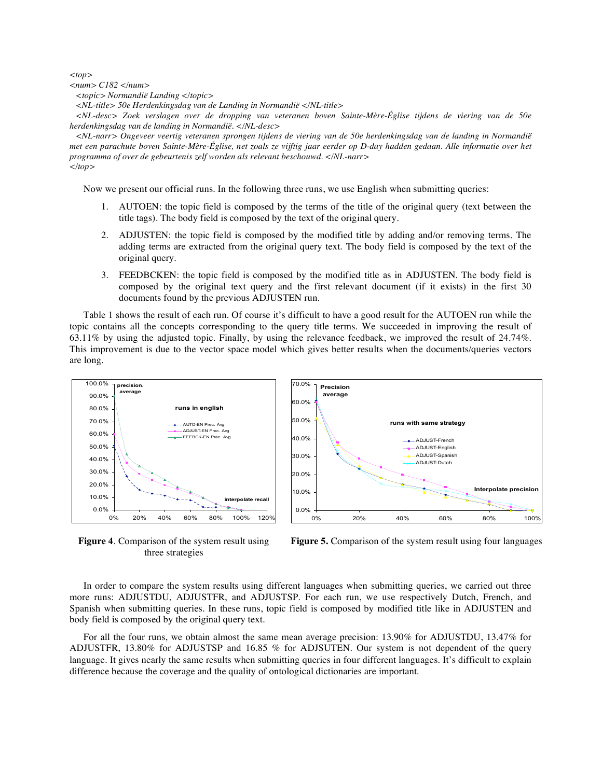*<top>*

*<num> C182 </num>*

*<topic> Normandië Landing </topic>*

*<NL-title> 50e Herdenkingsdag van de Landing in Normandië </NL-title>*

*<NL-desc> Zoek verslagen over de dropping van veteranen boven Sainte-Mère-Église tijdens de viering van de 50e herdenkingsdag van de landing in Normandië. </NL-desc>*

<NL-narr> Ongeveer veertig veteranen sprongen tijdens de viering van de 50e herdenkingsdag van de landing in Normandië met een parachute boven Sainte-Mère-Église, net zoals ze vijftig jaar eerder op D-day hadden gedaan. Alle informatie over het *programma of over de gebeurtenis zelf worden als relevant beschouwd. </NL-narr> </top>*

Now we present our official runs. In the following three runs, we use English when submitting queries:

- 1. AUTOEN: the topic field is composed by the terms of the title of the original query (text between the title tags). The body field is composed by the text of the original query.
- 2. ADJUSTEN: the topic field is composed by the modified title by adding and/or removing terms. The adding terms are extracted from the original query text. The body field is composed by the text of the original query.
- 3. FEEDBCKEN: the topic field is composed by the modified title as in ADJUSTEN. The body field is composed by the original text query and the first relevant document (if it exists) in the first 30 documents found by the previous ADJUSTEN run.

Table 1 shows the result of each run. Of course it's difficult to have a good result for the AUTOEN run while the topic contains all the concepts corresponding to the query title terms. We succeeded in improving the result of 63.11% by using the adjusted topic. Finally, by using the relevance feedback, we improved the result of 24.74%. This improvement is due to the vector space model which gives better results when the documents/queries vectors are long.



**Figure 4**. Comparison of the system result using three strategies



In order to compare the system results using different languages when submitting queries, we carried out three more runs: ADJUSTDU, ADJUSTFR, and ADJUSTSP. For each run, we use respectively Dutch, French, and Spanish when submitting queries. In these runs, topic field is composed by modified title like in ADJUSTEN and body field is composed by the original query text.

For all the four runs, we obtain almost the same mean average precision: 13.90% for ADJUSTDU, 13.47% for ADJUSTFR, 13.80% for ADJUSTSP and 16.85 % for ADJSUTEN. Our system is not dependent of the query language. It gives nearly the same results when submitting queries in four different languages. It's difficult to explain difference because the coverage and the quality of ontological dictionaries are important.